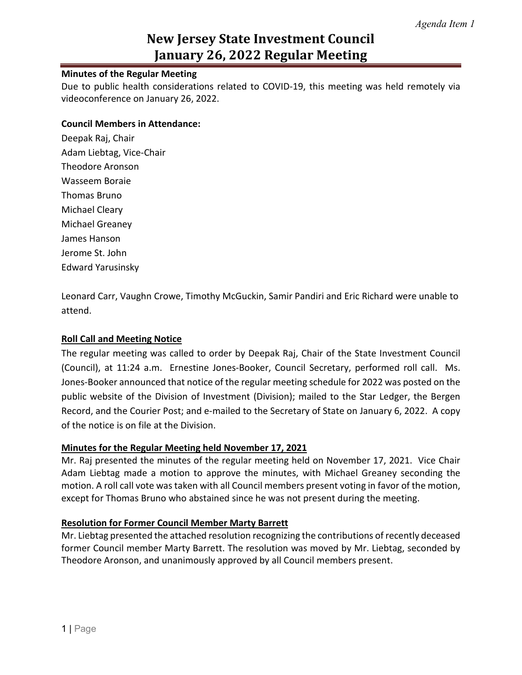## **New Jersey State Investment Council January 26, 2022 Regular Meeting**

#### **Minutes of the Regular Meeting**

Due to public health considerations related to COVID-19, this meeting was held remotely via videoconference on January 26, 2022.

#### **Council Members in Attendance:**

Deepak Raj, Chair Adam Liebtag, Vice-Chair Theodore Aronson Wasseem Boraie Thomas Bruno Michael Cleary Michael Greaney James Hanson Jerome St. John Edward Yarusinsky

Leonard Carr, Vaughn Crowe, Timothy McGuckin, Samir Pandiri and Eric Richard were unable to attend.

#### **Roll Call and Meeting Notice**

The regular meeting was called to order by Deepak Raj, Chair of the State Investment Council (Council), at 11:24 a.m. Ernestine Jones-Booker, Council Secretary, performed roll call. Ms. Jones-Booker announced that notice of the regular meeting schedule for 2022 was posted on the public website of the Division of Investment (Division); mailed to the Star Ledger, the Bergen Record, and the Courier Post; and e-mailed to the Secretary of State on January 6, 2022. A copy of the notice is on file at the Division.

#### **Minutes for the Regular Meeting held November 17, 2021**

Mr. Raj presented the minutes of the regular meeting held on November 17, 2021. Vice Chair Adam Liebtag made a motion to approve the minutes, with Michael Greaney seconding the motion. A roll call vote was taken with all Council members present voting in favor of the motion, except for Thomas Bruno who abstained since he was not present during the meeting.

#### **Resolution for Former Council Member Marty Barrett**

Mr. Liebtag presented the attached resolution recognizing the contributions of recently deceased former Council member Marty Barrett. The resolution was moved by Mr. Liebtag, seconded by Theodore Aronson, and unanimously approved by all Council members present.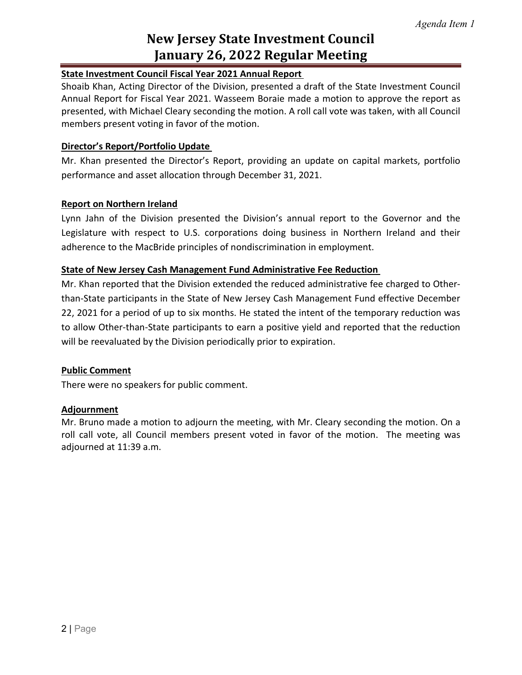## **New Jersey State Investment Council January 26, 2022 Regular Meeting**

### **State Investment Council Fiscal Year 2021 Annual Report**

Shoaib Khan, Acting Director of the Division, presented a draft of the State Investment Council Annual Report for Fiscal Year 2021. Wasseem Boraie made a motion to approve the report as presented, with Michael Cleary seconding the motion. A roll call vote was taken, with all Council members present voting in favor of the motion.

#### **Director's Report/Portfolio Update**

Mr. Khan presented the Director's Report, providing an update on capital markets, portfolio performance and asset allocation through December 31, 2021.

### **Report on Northern Ireland**

Lynn Jahn of the Division presented the Division's annual report to the Governor and the Legislature with respect to U.S. corporations doing business in Northern Ireland and their adherence to the MacBride principles of nondiscrimination in employment.

### **State of New Jersey Cash Management Fund Administrative Fee Reduction**

Mr. Khan reported that the Division extended the reduced administrative fee charged to Otherthan-State participants in the State of New Jersey Cash Management Fund effective December 22, 2021 for a period of up to six months. He stated the intent of the temporary reduction was to allow Other-than-State participants to earn a positive yield and reported that the reduction will be reevaluated by the Division periodically prior to expiration.

#### **Public Comment**

There were no speakers for public comment.

#### **Adjournment**

Mr. Bruno made a motion to adjourn the meeting, with Mr. Cleary seconding the motion. On a roll call vote, all Council members present voted in favor of the motion. The meeting was adjourned at 11:39 a.m.